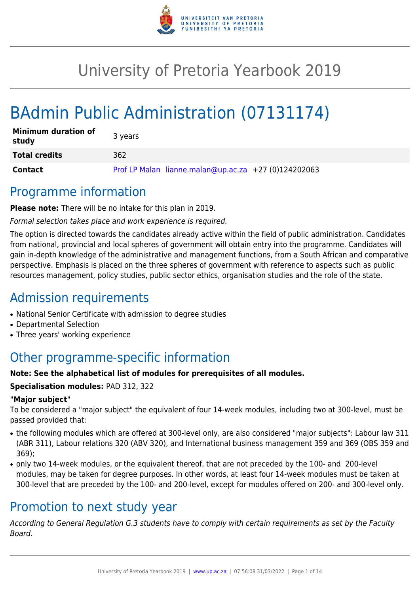

# University of Pretoria Yearbook 2019

# BAdmin Public Administration (07131174)

| <b>Minimum duration of</b><br>study | 3 years                                              |
|-------------------------------------|------------------------------------------------------|
| <b>Total credits</b>                | 362                                                  |
| <b>Contact</b>                      | Prof LP Malan lianne.malan@up.ac.za +27 (0)124202063 |

### Programme information

**Please note:** There will be no intake for this plan in 2019.

Formal selection takes place and work experience is required.

The option is directed towards the candidates already active within the field of public administration. Candidates from national, provincial and local spheres of government will obtain entry into the programme. Candidates will gain in-depth knowledge of the administrative and management functions, from a South African and comparative perspective. Emphasis is placed on the three spheres of government with reference to aspects such as public resources management, policy studies, public sector ethics, organisation studies and the role of the state.

## Admission requirements

- National Senior Certificate with admission to degree studies
- Departmental Selection
- Three years' working experience

# Other programme-specific information

#### **Note: See the alphabetical list of modules for prerequisites of all modules.**

#### **Specialisation modules:** PAD 312, 322

#### **"Major subject"**

To be considered a "major subject" the equivalent of four 14-week modules, including two at 300-level, must be passed provided that:

- the following modules which are offered at 300-level only, are also considered "major subjects": Labour law 311 (ABR 311), Labour relations 320 (ABV 320), and International business management 359 and 369 (OBS 359 and 369);
- only two 14-week modules, or the equivalent thereof, that are not preceded by the 100- and 200-level modules, may be taken for degree purposes. In other words, at least four 14-week modules must be taken at 300-level that are preceded by the 100- and 200-level, except for modules offered on 200- and 300-level only.

## Promotion to next study year

According to General Regulation G.3 students have to comply with certain requirements as set by the Faculty Board.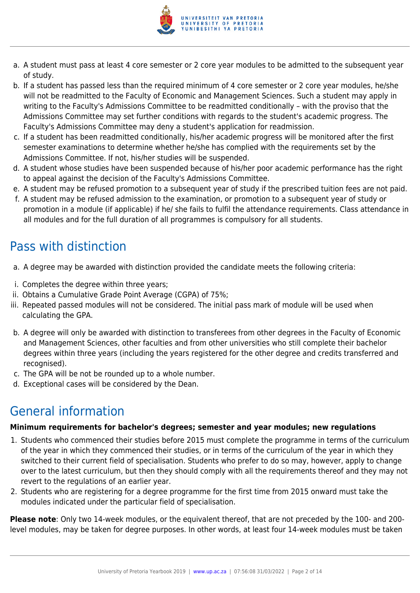

- a. A student must pass at least 4 core semester or 2 core year modules to be admitted to the subsequent year of study.
- b. If a student has passed less than the required minimum of 4 core semester or 2 core year modules, he/she will not be readmitted to the Faculty of Economic and Management Sciences. Such a student may apply in writing to the Faculty's Admissions Committee to be readmitted conditionally – with the proviso that the Admissions Committee may set further conditions with regards to the student's academic progress. The Faculty's Admissions Committee may deny a student's application for readmission.
- c. If a student has been readmitted conditionally, his/her academic progress will be monitored after the first semester examinations to determine whether he/she has complied with the requirements set by the Admissions Committee. If not, his/her studies will be suspended.
- d. A student whose studies have been suspended because of his/her poor academic performance has the right to appeal against the decision of the Faculty's Admissions Committee.
- e. A student may be refused promotion to a subsequent year of study if the prescribed tuition fees are not paid.
- f. A student may be refused admission to the examination, or promotion to a subsequent year of study or promotion in a module (if applicable) if he/ she fails to fulfil the attendance requirements. Class attendance in all modules and for the full duration of all programmes is compulsory for all students.

# Pass with distinction

- a. A degree may be awarded with distinction provided the candidate meets the following criteria:
- i. Completes the degree within three years;
- ii. Obtains a Cumulative Grade Point Average (CGPA) of 75%;
- iii. Repeated passed modules will not be considered. The initial pass mark of module will be used when calculating the GPA.
- b. A degree will only be awarded with distinction to transferees from other degrees in the Faculty of Economic and Management Sciences, other faculties and from other universities who still complete their bachelor degrees within three years (including the years registered for the other degree and credits transferred and recognised).
- c. The GPA will be not be rounded up to a whole number.
- d. Exceptional cases will be considered by the Dean.

# General information

#### **Minimum requirements for bachelor's degrees; semester and year modules; new regulations**

- 1. Students who commenced their studies before 2015 must complete the programme in terms of the curriculum of the year in which they commenced their studies, or in terms of the curriculum of the year in which they switched to their current field of specialisation. Students who prefer to do so may, however, apply to change over to the latest curriculum, but then they should comply with all the requirements thereof and they may not revert to the regulations of an earlier year.
- 2. Students who are registering for a degree programme for the first time from 2015 onward must take the modules indicated under the particular field of specialisation.

**Please note**: Only two 14-week modules, or the equivalent thereof, that are not preceded by the 100- and 200 level modules, may be taken for degree purposes. In other words, at least four 14-week modules must be taken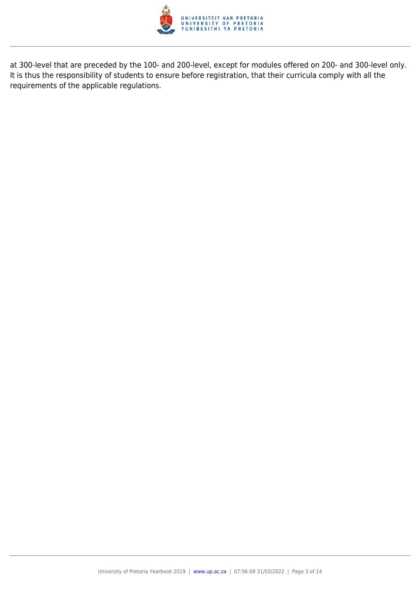

at 300-level that are preceded by the 100- and 200-level, except for modules offered on 200- and 300-level only. It is thus the responsibility of students to ensure before registration, that their curricula comply with all the requirements of the applicable regulations.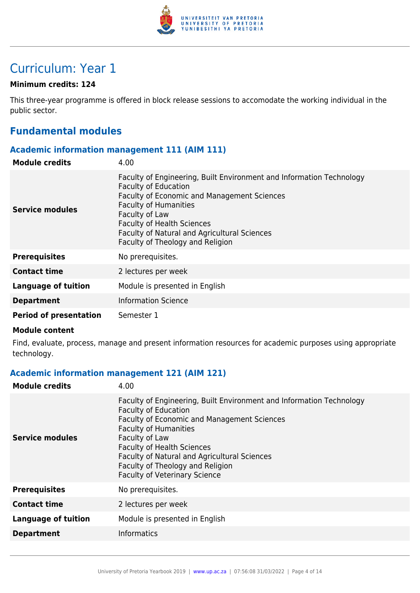

## Curriculum: Year 1

#### **Minimum credits: 124**

This three-year programme is offered in block release sessions to accomodate the working individual in the public sector.

### **Fundamental modules**

#### **Academic information management 111 (AIM 111)**

| <b>Module credits</b>         | 4.00                                                                                                                                                                                                                                                                                                                                 |
|-------------------------------|--------------------------------------------------------------------------------------------------------------------------------------------------------------------------------------------------------------------------------------------------------------------------------------------------------------------------------------|
| Service modules               | Faculty of Engineering, Built Environment and Information Technology<br><b>Faculty of Education</b><br><b>Faculty of Economic and Management Sciences</b><br><b>Faculty of Humanities</b><br>Faculty of Law<br><b>Faculty of Health Sciences</b><br>Faculty of Natural and Agricultural Sciences<br>Faculty of Theology and Religion |
| <b>Prerequisites</b>          | No prerequisites.                                                                                                                                                                                                                                                                                                                    |
| <b>Contact time</b>           | 2 lectures per week                                                                                                                                                                                                                                                                                                                  |
| <b>Language of tuition</b>    | Module is presented in English                                                                                                                                                                                                                                                                                                       |
| <b>Department</b>             | <b>Information Science</b>                                                                                                                                                                                                                                                                                                           |
| <b>Period of presentation</b> | Semester 1                                                                                                                                                                                                                                                                                                                           |

#### **Module content**

Find, evaluate, process, manage and present information resources for academic purposes using appropriate technology.

#### **Academic information management 121 (AIM 121)**

| <b>Module credits</b>      | 4.00                                                                                                                                                                                                                                                                                                                                                                         |
|----------------------------|------------------------------------------------------------------------------------------------------------------------------------------------------------------------------------------------------------------------------------------------------------------------------------------------------------------------------------------------------------------------------|
| Service modules            | Faculty of Engineering, Built Environment and Information Technology<br><b>Faculty of Education</b><br><b>Faculty of Economic and Management Sciences</b><br><b>Faculty of Humanities</b><br>Faculty of Law<br><b>Faculty of Health Sciences</b><br>Faculty of Natural and Agricultural Sciences<br>Faculty of Theology and Religion<br><b>Faculty of Veterinary Science</b> |
| <b>Prerequisites</b>       | No prerequisites.                                                                                                                                                                                                                                                                                                                                                            |
| <b>Contact time</b>        | 2 lectures per week                                                                                                                                                                                                                                                                                                                                                          |
| <b>Language of tuition</b> | Module is presented in English                                                                                                                                                                                                                                                                                                                                               |
| <b>Department</b>          | <b>Informatics</b>                                                                                                                                                                                                                                                                                                                                                           |
|                            |                                                                                                                                                                                                                                                                                                                                                                              |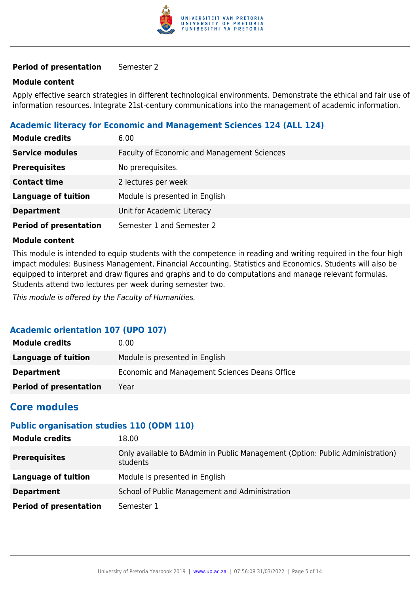

#### **Period of presentation** Semester 2

#### **Module content**

Apply effective search strategies in different technological environments. Demonstrate the ethical and fair use of information resources. Integrate 21st-century communications into the management of academic information.

#### **Academic literacy for Economic and Management Sciences 124 (ALL 124)**

| <b>Module credits</b>         | 6.00                                        |
|-------------------------------|---------------------------------------------|
| <b>Service modules</b>        | Faculty of Economic and Management Sciences |
| <b>Prerequisites</b>          | No prerequisites.                           |
| <b>Contact time</b>           | 2 lectures per week                         |
| <b>Language of tuition</b>    | Module is presented in English              |
| <b>Department</b>             | Unit for Academic Literacy                  |
| <b>Period of presentation</b> | Semester 1 and Semester 2                   |

#### **Module content**

This module is intended to equip students with the competence in reading and writing required in the four high impact modules: Business Management, Financial Accounting, Statistics and Economics. Students will also be equipped to interpret and draw figures and graphs and to do computations and manage relevant formulas. Students attend two lectures per week during semester two.

This module is offered by the Faculty of Humanities.

#### **Academic orientation 107 (UPO 107)**

| <b>Module credits</b>         | 0.00                                          |
|-------------------------------|-----------------------------------------------|
| Language of tuition           | Module is presented in English                |
| <b>Department</b>             | Economic and Management Sciences Deans Office |
| <b>Period of presentation</b> | Year                                          |

### **Core modules**

#### **Public organisation studies 110 (ODM 110)**

| <b>Module credits</b>         | 18.00                                                                                     |
|-------------------------------|-------------------------------------------------------------------------------------------|
| <b>Prerequisites</b>          | Only available to BAdmin in Public Management (Option: Public Administration)<br>students |
| <b>Language of tuition</b>    | Module is presented in English                                                            |
| <b>Department</b>             | School of Public Management and Administration                                            |
| <b>Period of presentation</b> | Semester 1                                                                                |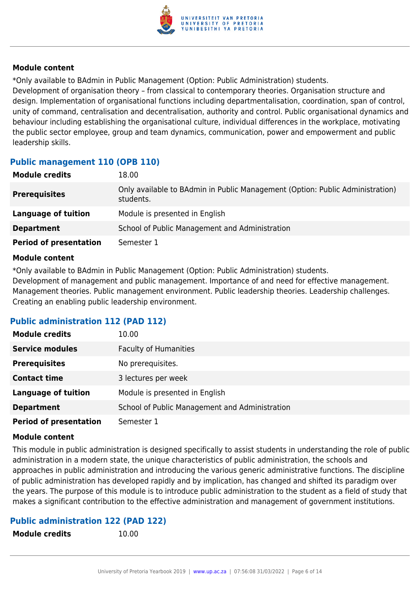

\*Only available to BAdmin in Public Management (Option: Public Administration) students. Development of organisation theory – from classical to contemporary theories. Organisation structure and design. Implementation of organisational functions including departmentalisation, coordination, span of control, unity of command, centralisation and decentralisation, authority and control. Public organisational dynamics and behaviour including establishing the organisational culture, individual differences in the workplace, motivating the public sector employee, group and team dynamics, communication, power and empowerment and public leadership skills.

### **Public management 110 (OPB 110)**

| <b>Module credits</b>         | 18.00                                                                                      |
|-------------------------------|--------------------------------------------------------------------------------------------|
| <b>Prerequisites</b>          | Only available to BAdmin in Public Management (Option: Public Administration)<br>students. |
| Language of tuition           | Module is presented in English                                                             |
| <b>Department</b>             | School of Public Management and Administration                                             |
| <b>Period of presentation</b> | Semester 1                                                                                 |

#### **Module content**

\*Only available to BAdmin in Public Management (Option: Public Administration) students. Development of management and public management. Importance of and need for effective management. Management theories. Public management environment. Public leadership theories. Leadership challenges. Creating an enabling public leadership environment.

#### **Public administration 112 (PAD 112)**

| <b>Module credits</b>         | 10.00                                          |
|-------------------------------|------------------------------------------------|
| <b>Service modules</b>        | <b>Faculty of Humanities</b>                   |
| <b>Prerequisites</b>          | No prerequisites.                              |
| <b>Contact time</b>           | 3 lectures per week                            |
| <b>Language of tuition</b>    | Module is presented in English                 |
| <b>Department</b>             | School of Public Management and Administration |
| <b>Period of presentation</b> | Semester 1                                     |

#### **Module content**

This module in public administration is designed specifically to assist students in understanding the role of public administration in a modern state, the unique characteristics of public administration, the schools and approaches in public administration and introducing the various generic administrative functions. The discipline of public administration has developed rapidly and by implication, has changed and shifted its paradigm over the years. The purpose of this module is to introduce public administration to the student as a field of study that makes a significant contribution to the effective administration and management of government institutions.

#### **Public administration 122 (PAD 122)**

**Module credits** 10.00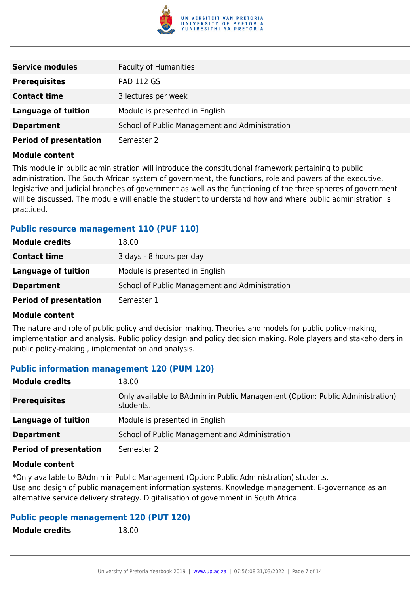

| <b>Service modules</b>        | <b>Faculty of Humanities</b>                   |
|-------------------------------|------------------------------------------------|
| <b>Prerequisites</b>          | <b>PAD 112 GS</b>                              |
| <b>Contact time</b>           | 3 lectures per week                            |
| <b>Language of tuition</b>    | Module is presented in English                 |
| <b>Department</b>             | School of Public Management and Administration |
| <b>Period of presentation</b> | Semester 2                                     |

This module in public administration will introduce the constitutional framework pertaining to public administration. The South African system of government, the functions, role and powers of the executive, legislative and judicial branches of government as well as the functioning of the three spheres of government will be discussed. The module will enable the student to understand how and where public administration is practiced.

#### **Public resource management 110 (PUF 110)**

| <b>Module credits</b>         | 18.00                                          |
|-------------------------------|------------------------------------------------|
| <b>Contact time</b>           | 3 days - 8 hours per day                       |
| Language of tuition           | Module is presented in English                 |
| <b>Department</b>             | School of Public Management and Administration |
| <b>Period of presentation</b> | Semester 1                                     |

#### **Module content**

The nature and role of public policy and decision making. Theories and models for public policy-making, implementation and analysis. Public policy design and policy decision making. Role players and stakeholders in public policy-making , implementation and analysis.

#### **Public information management 120 (PUM 120)**

| <b>Module credits</b>         | 18.00                                                                                      |
|-------------------------------|--------------------------------------------------------------------------------------------|
| <b>Prerequisites</b>          | Only available to BAdmin in Public Management (Option: Public Administration)<br>students. |
| Language of tuition           | Module is presented in English                                                             |
| <b>Department</b>             | School of Public Management and Administration                                             |
| <b>Period of presentation</b> | Semester 2                                                                                 |

#### **Module content**

\*Only available to BAdmin in Public Management (Option: Public Administration) students. Use and design of public management information systems. Knowledge management. E-governance as an alternative service delivery strategy. Digitalisation of government in South Africa.

#### **Public people management 120 (PUT 120)**

| <b>Module credits</b> | 18.00 |
|-----------------------|-------|
|                       |       |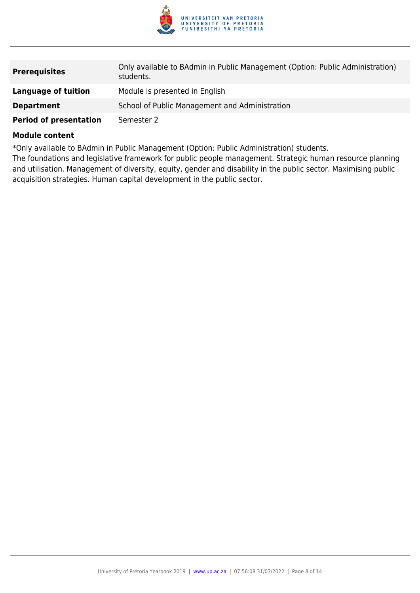

| <b>Prerequisites</b>          | Only available to BAdmin in Public Management (Option: Public Administration)<br>students. |
|-------------------------------|--------------------------------------------------------------------------------------------|
| Language of tuition           | Module is presented in English                                                             |
| <b>Department</b>             | School of Public Management and Administration                                             |
| <b>Period of presentation</b> | Semester 2                                                                                 |

\*Only available to BAdmin in Public Management (Option: Public Administration) students.

The foundations and legislative framework for public people management. Strategic human resource planning and utilisation. Management of diversity, equity, gender and disability in the public sector. Maximising public acquisition strategies. Human capital development in the public sector.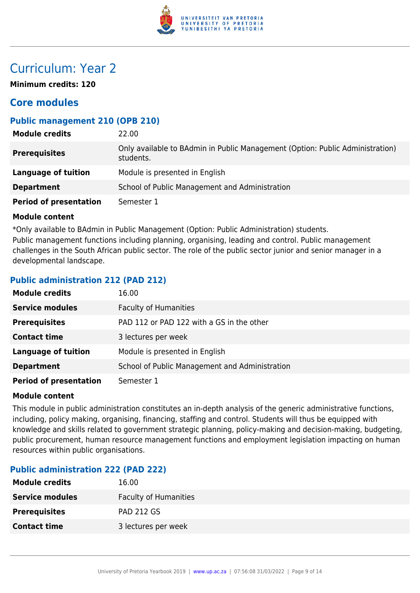

## Curriculum: Year 2

**Minimum credits: 120**

### **Core modules**

#### **Public management 210 (OPB 210)**

| <b>Module credits</b>         | 22.00                                                                                      |
|-------------------------------|--------------------------------------------------------------------------------------------|
| <b>Prerequisites</b>          | Only available to BAdmin in Public Management (Option: Public Administration)<br>students. |
| Language of tuition           | Module is presented in English                                                             |
| <b>Department</b>             | School of Public Management and Administration                                             |
| <b>Period of presentation</b> | Semester 1                                                                                 |

#### **Module content**

\*Only available to BAdmin in Public Management (Option: Public Administration) students. Public management functions including planning, organising, leading and control. Public management challenges in the South African public sector. The role of the public sector junior and senior manager in a developmental landscape.

#### **Public administration 212 (PAD 212)**

| <b>Module credits</b>         | 16.00                                          |
|-------------------------------|------------------------------------------------|
| <b>Service modules</b>        | <b>Faculty of Humanities</b>                   |
| <b>Prerequisites</b>          | PAD 112 or PAD 122 with a GS in the other      |
| <b>Contact time</b>           | 3 lectures per week                            |
| <b>Language of tuition</b>    | Module is presented in English                 |
| <b>Department</b>             | School of Public Management and Administration |
| <b>Period of presentation</b> | Semester 1                                     |

#### **Module content**

This module in public administration constitutes an in-depth analysis of the generic administrative functions, including, policy making, organising, financing, staffing and control. Students will thus be equipped with knowledge and skills related to government strategic planning, policy-making and decision-making, budgeting, public procurement, human resource management functions and employment legislation impacting on human resources within public organisations.

#### **Public administration 222 (PAD 222)**

| <b>Module credits</b>  | 16.00                        |
|------------------------|------------------------------|
| <b>Service modules</b> | <b>Faculty of Humanities</b> |
| <b>Prerequisites</b>   | <b>PAD 212 GS</b>            |
| <b>Contact time</b>    | 3 lectures per week          |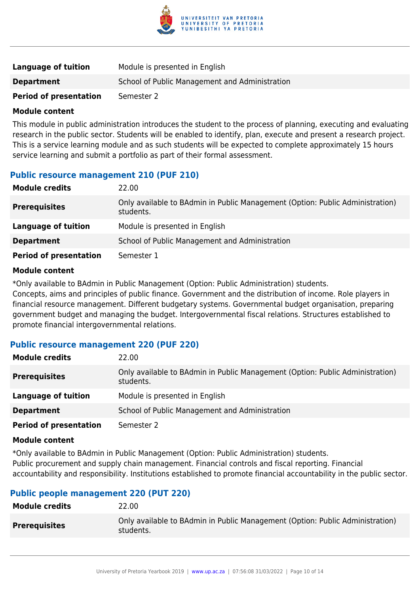

| Language of tuition           | Module is presented in English                 |
|-------------------------------|------------------------------------------------|
| <b>Department</b>             | School of Public Management and Administration |
| <b>Period of presentation</b> | Semester 2                                     |

This module in public administration introduces the student to the process of planning, executing and evaluating research in the public sector. Students will be enabled to identify, plan, execute and present a research project. This is a service learning module and as such students will be expected to complete approximately 15 hours service learning and submit a portfolio as part of their formal assessment.

#### **Public resource management 210 (PUF 210)**

| <b>Module credits</b>         | 22.00                                                                                      |
|-------------------------------|--------------------------------------------------------------------------------------------|
| <b>Prerequisites</b>          | Only available to BAdmin in Public Management (Option: Public Administration)<br>students. |
| Language of tuition           | Module is presented in English                                                             |
| <b>Department</b>             | School of Public Management and Administration                                             |
| <b>Period of presentation</b> | Semester 1                                                                                 |

#### **Module content**

\*Only available to BAdmin in Public Management (Option: Public Administration) students.

Concepts, aims and principles of public finance. Government and the distribution of income. Role players in financial resource management. Different budgetary systems. Governmental budget organisation, preparing government budget and managing the budget. Intergovernmental fiscal relations. Structures established to promote financial intergovernmental relations.

#### **Public resource management 220 (PUF 220)**

| <b>Module credits</b>         | 22.00                                                                                      |
|-------------------------------|--------------------------------------------------------------------------------------------|
| <b>Prerequisites</b>          | Only available to BAdmin in Public Management (Option: Public Administration)<br>students. |
| Language of tuition           | Module is presented in English                                                             |
| <b>Department</b>             | School of Public Management and Administration                                             |
| <b>Period of presentation</b> | Semester 2                                                                                 |

#### **Module content**

\*Only available to BAdmin in Public Management (Option: Public Administration) students. Public procurement and supply chain management. Financial controls and fiscal reporting. Financial accountability and responsibility. Institutions established to promote financial accountability in the public sector.

#### **Public people management 220 (PUT 220)**

| Only available to BAdmin in Public Management (Option: Public Administration)<br><b>Prerequisites</b><br>students. | <b>Module credits</b> | 22.00 |
|--------------------------------------------------------------------------------------------------------------------|-----------------------|-------|
|                                                                                                                    |                       |       |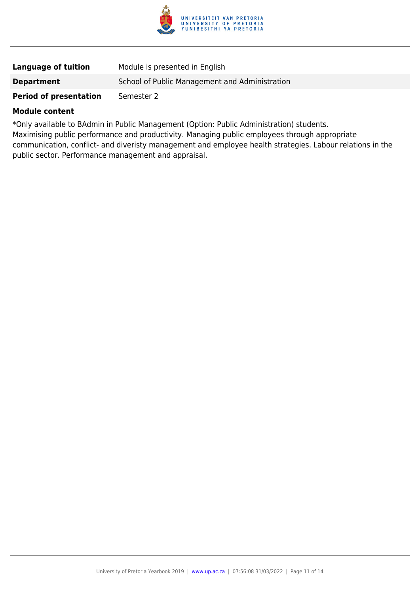

| Language of tuition           | Module is presented in English                 |
|-------------------------------|------------------------------------------------|
| <b>Department</b>             | School of Public Management and Administration |
| <b>Period of presentation</b> | Semester 2                                     |

\*Only available to BAdmin in Public Management (Option: Public Administration) students. Maximising public performance and productivity. Managing public employees through appropriate communication, conflict- and diveristy management and employee health strategies. Labour relations in the public sector. Performance management and appraisal.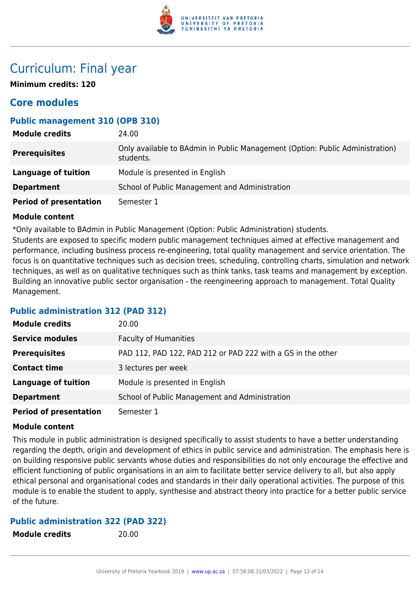

### Curriculum: Final year

**Minimum credits: 120**

### **Core modules**

#### **Public management 310 (OPB 310)**

| <b>Module credits</b>         | 24.00                                                                                      |
|-------------------------------|--------------------------------------------------------------------------------------------|
| <b>Prerequisites</b>          | Only available to BAdmin in Public Management (Option: Public Administration)<br>students. |
| <b>Language of tuition</b>    | Module is presented in English                                                             |
| <b>Department</b>             | School of Public Management and Administration                                             |
| <b>Period of presentation</b> | Semester 1                                                                                 |

#### **Module content**

\*Only available to BAdmin in Public Management (Option: Public Administration) students.

Students are exposed to specific modern public management techniques aimed at effective management and performance, including business process re-engineering, total quality management and service orientation. The focus is on quantitative techniques such as decision trees, scheduling, controlling charts, simulation and network techniques, as well as on qualitative techniques such as think tanks, task teams and management by exception. Building an innovative public sector organisation - the reengineering approach to management. Total Quality Management.

#### **Public administration 312 (PAD 312)**

| <b>Module credits</b>         | 20.00                                                       |
|-------------------------------|-------------------------------------------------------------|
| <b>Service modules</b>        | <b>Faculty of Humanities</b>                                |
| <b>Prerequisites</b>          | PAD 112, PAD 122, PAD 212 or PAD 222 with a GS in the other |
| <b>Contact time</b>           | 3 lectures per week                                         |
| <b>Language of tuition</b>    | Module is presented in English                              |
| <b>Department</b>             | School of Public Management and Administration              |
| <b>Period of presentation</b> | Semester 1                                                  |

#### **Module content**

This module in public administration is designed specifically to assist students to have a better understanding regarding the depth, origin and development of ethics in public service and administration. The emphasis here is on building responsive public servants whose duties and responsibilities do not only encourage the effective and efficient functioning of public organisations in an aim to facilitate better service delivery to all, but also apply ethical personal and organisational codes and standards in their daily operational activities. The purpose of this module is to enable the student to apply, synthesise and abstract theory into practice for a better public service of the future.

#### **Public administration 322 (PAD 322)**

**Module credits** 20.00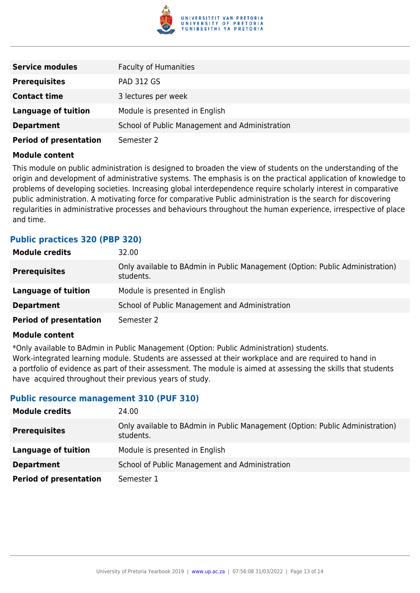

| <b>Service modules</b>        | <b>Faculty of Humanities</b>                   |
|-------------------------------|------------------------------------------------|
| <b>Prerequisites</b>          | <b>PAD 312 GS</b>                              |
| <b>Contact time</b>           | 3 lectures per week                            |
| <b>Language of tuition</b>    | Module is presented in English                 |
| <b>Department</b>             | School of Public Management and Administration |
| <b>Period of presentation</b> | Semester 2                                     |

This module on public administration is designed to broaden the view of students on the understanding of the origin and development of administrative systems. The emphasis is on the practical application of knowledge to problems of developing societies. Increasing global interdependence require scholarly interest in comparative public administration. A motivating force for comparative Public administration is the search for discovering regularities in administrative processes and behaviours throughout the human experience, irrespective of place and time.

#### **Public practices 320 (PBP 320)**

| <b>Module credits</b>         | 32.00                                                                                      |
|-------------------------------|--------------------------------------------------------------------------------------------|
| <b>Prerequisites</b>          | Only available to BAdmin in Public Management (Option: Public Administration)<br>students. |
| Language of tuition           | Module is presented in English                                                             |
| <b>Department</b>             | School of Public Management and Administration                                             |
| <b>Period of presentation</b> | Semester 2                                                                                 |

#### **Module content**

\*Only available to BAdmin in Public Management (Option: Public Administration) students. Work-integrated learning module. Students are assessed at their workplace and are required to hand in a portfolio of evidence as part of their assessment. The module is aimed at assessing the skills that students have acquired throughout their previous years of study.

#### **Public resource management 310 (PUF 310)**

| <b>Module credits</b>         | 24.00                                                                                      |
|-------------------------------|--------------------------------------------------------------------------------------------|
| <b>Prerequisites</b>          | Only available to BAdmin in Public Management (Option: Public Administration)<br>students. |
| Language of tuition           | Module is presented in English                                                             |
| <b>Department</b>             | School of Public Management and Administration                                             |
| <b>Period of presentation</b> | Semester 1                                                                                 |